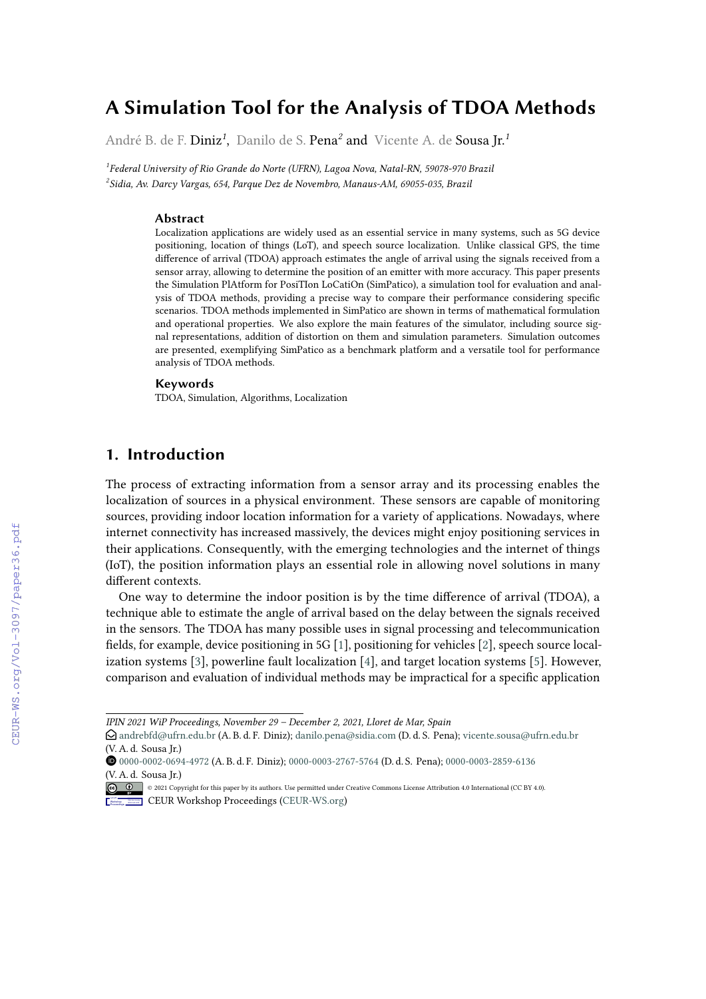# **A Simulation Tool for the Analysis of TDOA Methods**

André B. de F. Diniz*<sup>1</sup>* , Danilo de S. Pena*<sup>2</sup>* and Vicente A. de Sousa Jr.*<sup>1</sup>*

*1 Federal University of Rio Grande do Norte (UFRN), Lagoa Nova, Natal-RN, 59078-970 Brazil 2 Sidia, Av. Darcy Vargas, 654, Parque Dez de Novembro, Manaus-AM, 69055-035, Brazil*

#### **Abstract**

Localization applications are widely used as an essential service in many systems, such as 5G device positioning, location of things (LoT), and speech source localization. Unlike classical GPS, the time difference of arrival (TDOA) approach estimates the angle of arrival using the signals received from a sensor array, allowing to determine the position of an emitter with more accuracy. This paper presents the Simulation PlAtform for PosiTIon LoCatiOn (SimPatico), a simulation tool for evaluation and analysis of TDOA methods, providing a precise way to compare their performance considering specific scenarios. TDOA methods implemented in SimPatico are shown in terms of mathematical formulation and operational properties. We also explore the main features of the simulator, including source signal representations, addition of distortion on them and simulation parameters. Simulation outcomes are presented, exemplifying SimPatico as a benchmark platform and a versatile tool for performance analysis of TDOA methods.

### **Keywords**

TDOA, Simulation, Algorithms, Localization

# **1. Introduction**

The process of extracting information from a sensor array and its processing enables the localization of sources in a physical environment. These sensors are capable of monitoring sources, providing indoor location information for a variety of applications. Nowadays, where internet connectivity has increased massively, the devices might enjoy positioning services in their applications. Consequently, with the emerging technologies and the internet of things (IoT), the position information plays an essential role in allowing novel solutions in many different contexts.

One way to determine the indoor position is by the time difference of arrival (TDOA), a technique able to estimate the angle of arrival based on the delay between the signals received in the sensors. The TDOA has many possible uses in signal processing and telecommunication fields, for example, device positioning in 5G [\[1\]](#page--1-0), positioning for vehicles [\[2\]](#page--1-1), speech source localization systems [\[3\]](#page--1-2), powerline fault localization [\[4\]](#page--1-3), and target location systems [\[5\]](#page--1-4). However, comparison and evaluation of individual methods may be impractical for a specific application

*IPIN 2021 WiP Proceedings, November 29 – December 2, 2021, Lloret de Mar, Spain*

 $\bigcirc$  [andrebfd@ufrn.edu.br](mailto:andrebfd@ufrn.edu.br) (A. B. d. F. Diniz); [danilo.pena@sidia.com](mailto:danilo.pena@sidia.com) (D. d. S. Pena); [vicente.sousa@ufrn.edu.br](mailto:vicente.sousa@ufrn.edu.br) (V. A. d. Sousa Jr.)

[0000-0002-0694-4972](https://orcid.org/0000-0002-0694-4972) (A. B. d. F. Diniz); [0000-0003-2767-5764](https://orcid.org/0000-0003-2767-5764) (D. d. S. Pena); [0000-0003-2859-6136](https://orcid.org/0000-0003-2859-6136) [\(V. A. d. S](https://creativecommons.org/licenses/by/4.0)ousa Jr.)

<sup>©</sup> 2021 Copyright for this paper by its authors. Use permitted under Creative Commons License Attribution 4.0 International (CC BY 4.0). **CEUR Workshop [Proceedings](http://ceur-ws.org) [\(CEUR-WS.org\)](http://ceur-ws.org)**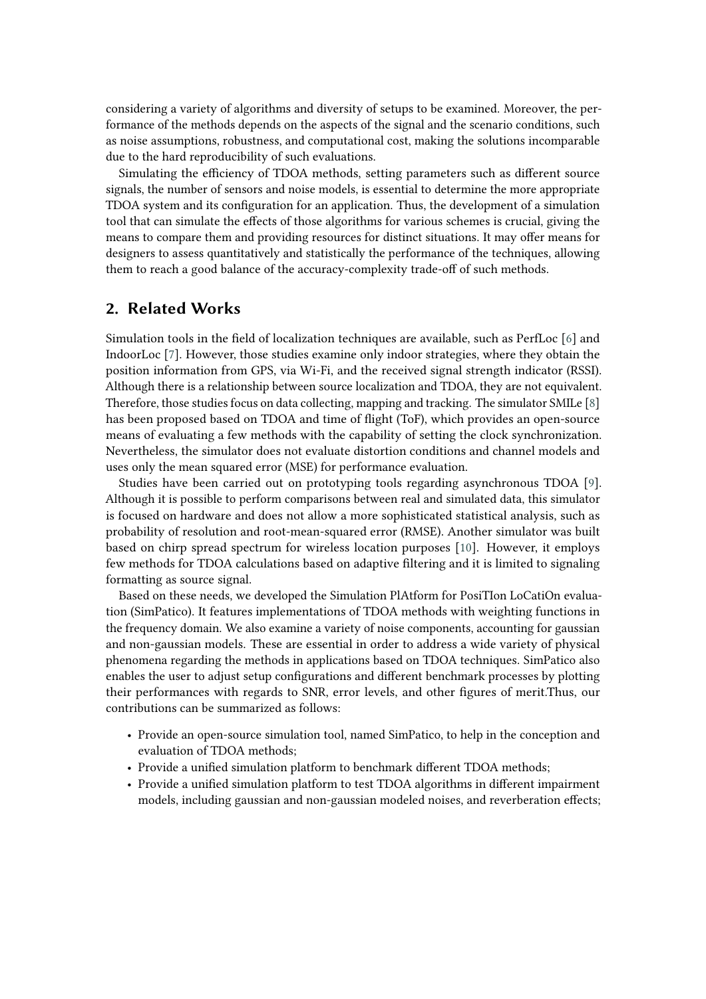considering a variety of algorithms and diversity of setups to be examined. Moreover, the performance of the methods depends on the aspects of the signal and the scenario conditions, such as noise assumptions, robustness, and computational cost, making the solutions incomparable due to the hard reproducibility of such evaluations.

Simulating the efficiency of TDOA methods, setting parameters such as different source signals, the number of sensors and noise models, is essential to determine the more appropriate TDOA system and its configuration for an application. Thus, the development of a simulation tool that can simulate the effects of those algorithms for various schemes is crucial, giving the means to compare them and providing resources for distinct situations. It may offer means for designers to assess quantitatively and statistically the performance of the techniques, allowing them to reach a good balance of the accuracy-complexity trade-off of such methods.

# **2. Related Works**

Simulation tools in the field of localization techniques are available, such as PerfLoc [\[6\]](#page-14-0) and IndoorLoc [\[7\]](#page-14-1). However, those studies examine only indoor strategies, where they obtain the position information from GPS, via Wi-Fi, and the received signal strength indicator (RSSI). Although there is a relationship between source localization and TDOA, they are not equivalent. Therefore, those studies focus on data collecting, mapping and tracking. The simulator SMILe [\[8\]](#page-14-2) has been proposed based on TDOA and time of flight (ToF), which provides an open-source means of evaluating a few methods with the capability of setting the clock synchronization. Nevertheless, the simulator does not evaluate distortion conditions and channel models and uses only the mean squared error (MSE) for performance evaluation.

Studies have been carried out on prototyping tools regarding asynchronous TDOA [\[9\]](#page-14-3). Although it is possible to perform comparisons between real and simulated data, this simulator is focused on hardware and does not allow a more sophisticated statistical analysis, such as probability of resolution and root-mean-squared error (RMSE). Another simulator was built based on chirp spread spectrum for wireless location purposes [\[10\]](#page-14-4). However, it employs few methods for TDOA calculations based on adaptive filtering and it is limited to signaling formatting as source signal.

Based on these needs, we developed the Simulation PlAtform for PosiTIon LoCatiOn evaluation (SimPatico). It features implementations of TDOA methods with weighting functions in the frequency domain. We also examine a variety of noise components, accounting for gaussian and non-gaussian models. These are essential in order to address a wide variety of physical phenomena regarding the methods in applications based on TDOA techniques. SimPatico also enables the user to adjust setup configurations and different benchmark processes by plotting their performances with regards to SNR, error levels, and other figures of merit.Thus, our contributions can be summarized as follows:

- Provide an open-source simulation tool, named SimPatico, to help in the conception and evaluation of TDOA methods;
- Provide a unified simulation platform to benchmark different TDOA methods;
- Provide a unified simulation platform to test TDOA algorithms in different impairment models, including gaussian and non-gaussian modeled noises, and reverberation effects;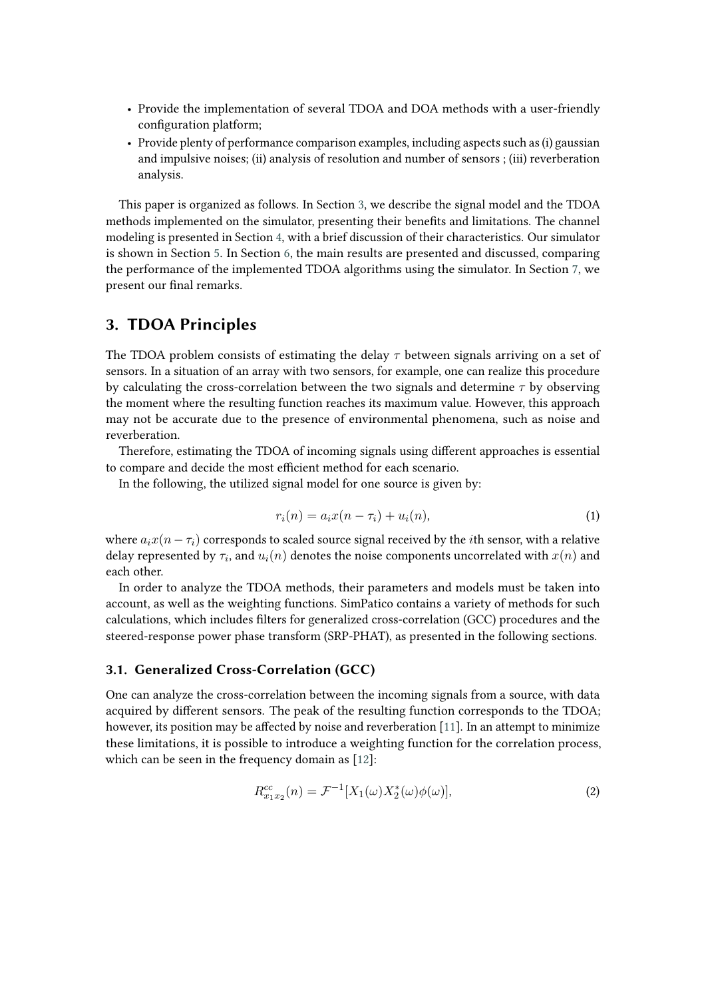- Provide the implementation of several TDOA and DOA methods with a user-friendly configuration platform;
- Provide plenty of performance comparison examples, including aspects such as (i) gaussian and impulsive noises; (ii) analysis of resolution and number of sensors ; (iii) reverberation analysis.

This paper is organized as follows. In Section [3,](#page-2-0) we describe the signal model and the TDOA methods implemented on the simulator, presenting their benefits and limitations. The channel modeling is presented in Section [4,](#page-4-0) with a brief discussion of their characteristics. Our simulator is shown in Section [5.](#page-7-0) In Section [6,](#page-8-0) the main results are presented and discussed, comparing the performance of the implemented TDOA algorithms using the simulator. In Section [7,](#page-13-0) we present our final remarks.

# <span id="page-2-0"></span>**3. TDOA Principles**

The TDOA problem consists of estimating the delay  $\tau$  between signals arriving on a set of sensors. In a situation of an array with two sensors, for example, one can realize this procedure by calculating the cross-correlation between the two signals and determine  $\tau$  by observing the moment where the resulting function reaches its maximum value. However, this approach may not be accurate due to the presence of environmental phenomena, such as noise and reverberation.

Therefore, estimating the TDOA of incoming signals using different approaches is essential to compare and decide the most efficient method for each scenario.

In the following, the utilized signal model for one source is given by:

$$
r_i(n) = a_i x(n - \tau_i) + u_i(n),
$$
\n(1)

where  $a_i x(n - \tau_i)$  corresponds to scaled source signal received by the *i*th sensor, with a relative delay represented by  $\tau_i$ , and  $u_i(n)$  denotes the noise components uncorrelated with  $x(n)$  and each other.

In order to analyze the TDOA methods, their parameters and models must be taken into account, as well as the weighting functions. SimPatico contains a variety of methods for such calculations, which includes filters for generalized cross-correlation (GCC) procedures and the steered-response power phase transform (SRP-PHAT), as presented in the following sections.

### **3.1. Generalized Cross-Correlation (GCC)**

One can analyze the cross-correlation between the incoming signals from a source, with data acquired by different sensors. The peak of the resulting function corresponds to the TDOA; however, its position may be affected by noise and reverberation [\[11\]](#page-14-5). In an attempt to minimize these limitations, it is possible to introduce a weighting function for the correlation process, which can be seen in the frequency domain as [\[12\]](#page-14-6):

$$
R_{x_1x_2}^{cc}(n) = \mathcal{F}^{-1}[X_1(\omega)X_2^*(\omega)\phi(\omega)],
$$
\n(2)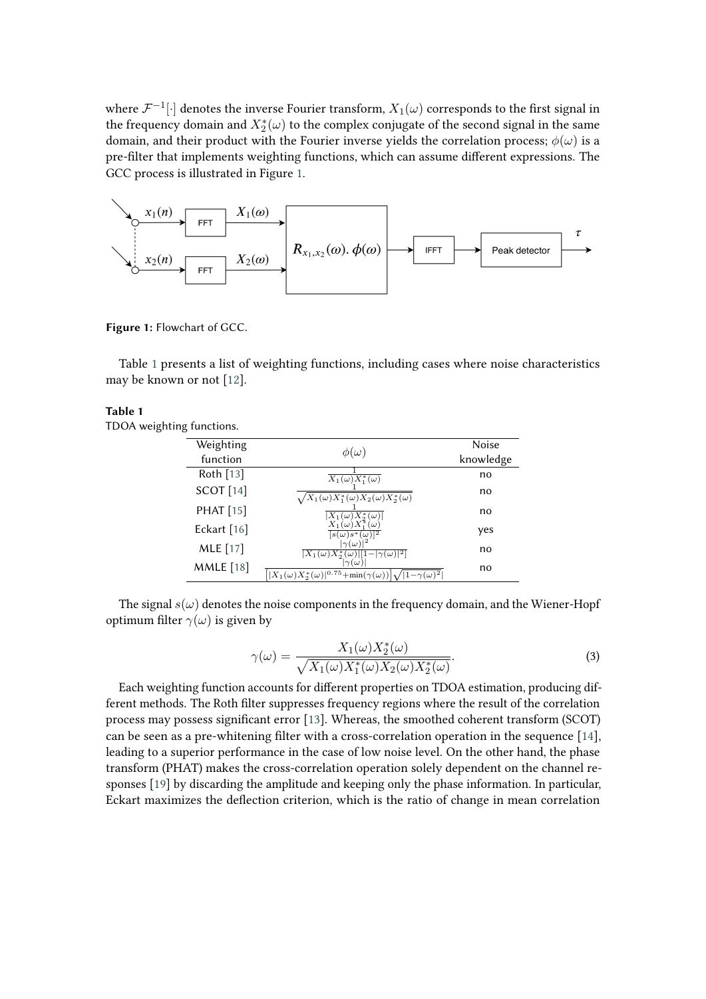where  $\mathcal{F}^{-1}[\cdot]$  denotes the inverse Fourier transform,  $X_1(\omega)$  corresponds to the first signal in the frequency domain and  $X^*_2(\omega)$  to the complex conjugate of the second signal in the same domain, and their product with the Fourier inverse yields the correlation process;  $\phi(\omega)$  is a pre-filter that implements weighting functions, which can assume different expressions. The GCC process is illustrated in Figure [1.](#page-3-0)



**Figure 1:** Flowchart of GCC.

Table [1](#page-3-1) presents a list of weighting functions, including cases where noise characteristics may be known or not [\[12\]](#page-14-6).

### <span id="page-3-1"></span>**Table 1**

TDOA weighting functions.

<span id="page-3-0"></span>

| Weighting        | $\phi(\omega)$                                                                                         | Noise     |
|------------------|--------------------------------------------------------------------------------------------------------|-----------|
| function         |                                                                                                        | knowledge |
| Roth $[13]$      | $X_1(\omega)\overline{X_1^*(\omega)}$                                                                  | no        |
| <b>SCOT</b> [14] | $'X_1(\omega)X_1^*(\omega)X_2(\omega)X_2^*(\omega)$                                                    | no        |
| <b>PHAT</b> [15] | $X_1(\omega)X_2^*$<br>( $\omega$ )                                                                     | no        |
| Eckart [16]      | $X_1(\omega)X$<br>$[s(\omega)s^*(\omega)]^2$                                                           | yes       |
| <b>MLE</b> [17]  | $\omega$<br>$- \gamma(\omega) ^2$<br>$X_1(\omega)X_2^*$<br>$ \omega)$   1                              | no        |
| <b>MMLE</b> [18] | $\omega$<br>$\frac{1}{2} X_1(\omega)X_2^*(\omega) ^{0.75}+\min(\gamma(\omega)) $<br>$\gamma(\omega)^2$ | no        |

The signal  $s(\omega)$  denotes the noise components in the frequency domain, and the Wiener-Hopf optimum filter  $\gamma(\omega)$  is given by

$$
\gamma(\omega) = \frac{X_1(\omega)X_2^*(\omega)}{\sqrt{X_1(\omega)X_1^*(\omega)X_2(\omega)X_2^*(\omega)}}.
$$
\n(3)

Each weighting function accounts for different properties on TDOA estimation, producing different methods. The Roth filter suppresses frequency regions where the result of the correlation process may possess significant error [\[13\]](#page-14-7). Whereas, the smoothed coherent transform (SCOT) can be seen as a pre-whitening filter with a cross-correlation operation in the sequence [\[14\]](#page-14-8), leading to a superior performance in the case of low noise level. On the other hand, the phase transform (PHAT) makes the cross-correlation operation solely dependent on the channel responses [\[19\]](#page-15-4) by discarding the amplitude and keeping only the phase information. In particular, Eckart maximizes the deflection criterion, which is the ratio of change in mean correlation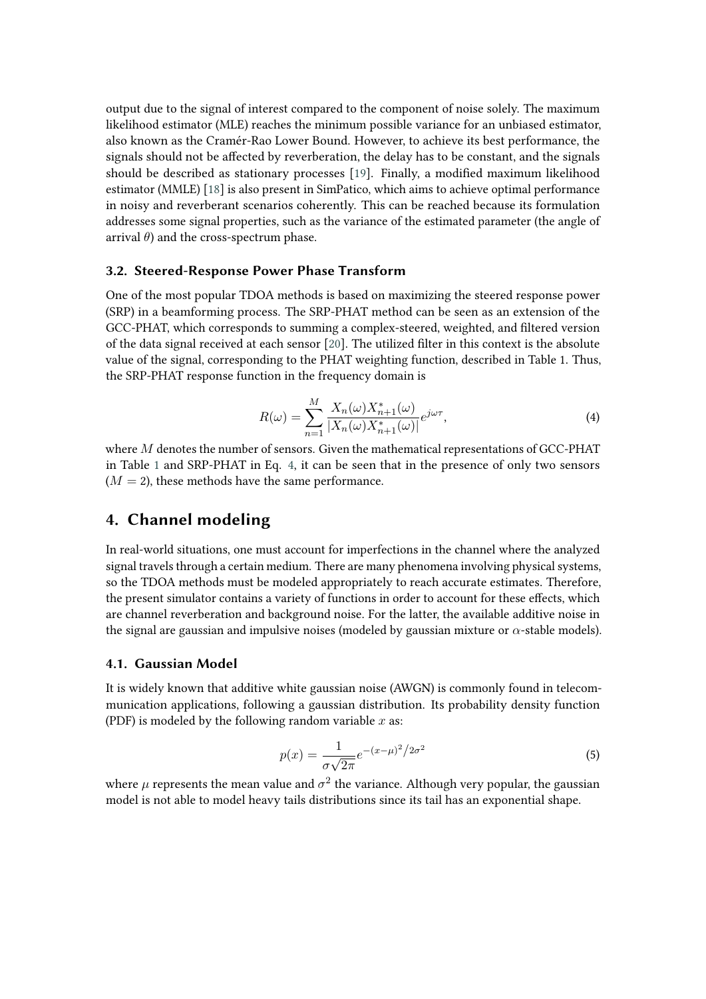output due to the signal of interest compared to the component of noise solely. The maximum likelihood estimator (MLE) reaches the minimum possible variance for an unbiased estimator, also known as the Cramér-Rao Lower Bound. However, to achieve its best performance, the signals should not be affected by reverberation, the delay has to be constant, and the signals should be described as stationary processes [\[19\]](#page-15-4). Finally, a modified maximum likelihood estimator (MMLE) [\[18\]](#page-15-3) is also present in SimPatico, which aims to achieve optimal performance in noisy and reverberant scenarios coherently. This can be reached because its formulation addresses some signal properties, such as the variance of the estimated parameter (the angle of arrival  $\theta$ ) and the cross-spectrum phase.

### **3.2. Steered-Response Power Phase Transform**

One of the most popular TDOA methods is based on maximizing the steered response power (SRP) in a beamforming process. The SRP-PHAT method can be seen as an extension of the GCC-PHAT, which corresponds to summing a complex-steered, weighted, and filtered version of the data signal received at each sensor [\[20\]](#page-15-5). The utilized filter in this context is the absolute value of the signal, corresponding to the PHAT weighting function, described in Table 1. Thus, the SRP-PHAT response function in the frequency domain is

<span id="page-4-1"></span>
$$
R(\omega) = \sum_{n=1}^{M} \frac{X_n(\omega) X_{n+1}^*(\omega)}{|X_n(\omega) X_{n+1}^*(\omega)|} e^{j\omega \tau},
$$
\n(4)

where  $M$  denotes the number of sensors. Given the mathematical representations of GCC-PHAT in Table [1](#page-3-1) and SRP-PHAT in Eq. [4,](#page-4-1) it can be seen that in the presence of only two sensors  $(M = 2)$ , these methods have the same performance.

# <span id="page-4-0"></span>**4. Channel modeling**

In real-world situations, one must account for imperfections in the channel where the analyzed signal travels through a certain medium. There are many phenomena involving physical systems, so the TDOA methods must be modeled appropriately to reach accurate estimates. Therefore, the present simulator contains a variety of functions in order to account for these effects, which are channel reverberation and background noise. For the latter, the available additive noise in the signal are gaussian and impulsive noises (modeled by gaussian mixture or  $\alpha$ -stable models).

### **4.1. Gaussian Model**

It is widely known that additive white gaussian noise (AWGN) is commonly found in telecommunication applications, following a gaussian distribution. Its probability density function (PDF) is modeled by the following random variable  $x$  as:

$$
p(x) = \frac{1}{\sigma\sqrt{2\pi}}e^{-(x-\mu)^2/2\sigma^2}
$$
 (5)

where  $\mu$  represents the mean value and  $\sigma^2$  the variance. Although very popular, the gaussian model is not able to model heavy tails distributions since its tail has an exponential shape.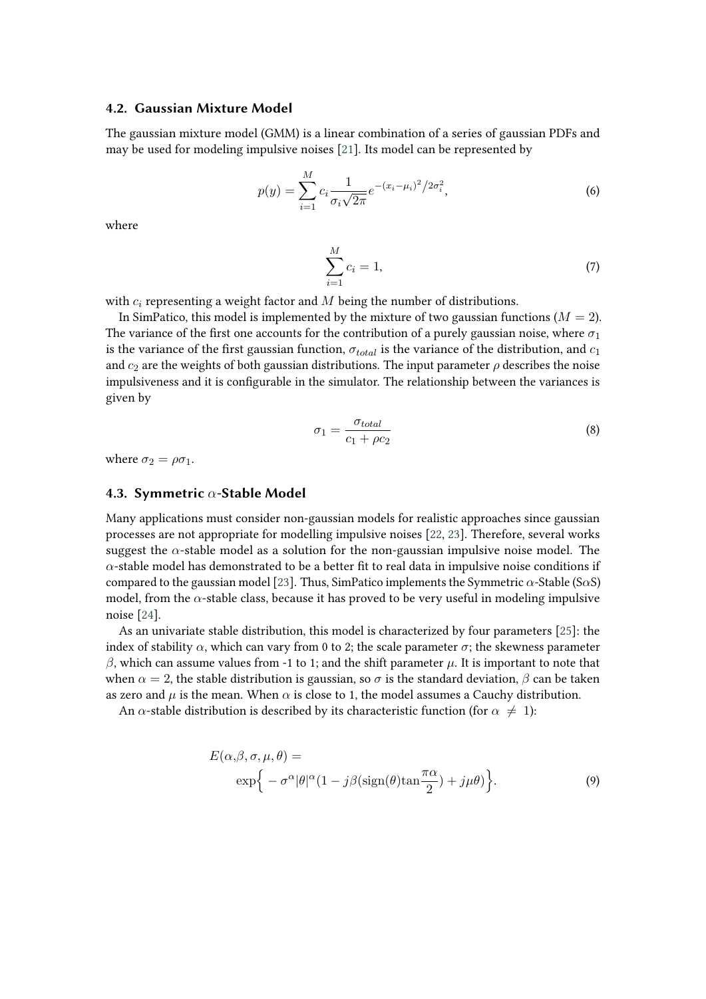### **4.2. Gaussian Mixture Model**

The gaussian mixture model (GMM) is a linear combination of a series of gaussian PDFs and may be used for modeling impulsive noises [\[21\]](#page-15-6). Its model can be represented by

$$
p(y) = \sum_{i=1}^{M} c_i \frac{1}{\sigma_i \sqrt{2\pi}} e^{-(x_i - \mu_i)^2 / 2\sigma_i^2},
$$
\n(6)

where

$$
\sum_{i=1}^{M} c_i = 1,
$$
\n(7)

with  $c_i$  representing a weight factor and  $M$  being the number of distributions.

In SimPatico, this model is implemented by the mixture of two gaussian functions ( $M = 2$ ). The variance of the first one accounts for the contribution of a purely gaussian noise, where  $\sigma_1$ is the variance of the first gaussian function,  $\sigma_{total}$  is the variance of the distribution, and  $c_1$ and  $c_2$  are the weights of both gaussian distributions. The input parameter  $\rho$  describes the noise impulsiveness and it is configurable in the simulator. The relationship between the variances is given by

<span id="page-5-0"></span>
$$
\sigma_1 = \frac{\sigma_{total}}{c_1 + \rho c_2} \tag{8}
$$

where  $\sigma_2 = \rho \sigma_1$ .

### **4.3. Symmetric**  $\alpha$ -Stable Model

Many applications must consider non-gaussian models for realistic approaches since gaussian processes are not appropriate for modelling impulsive noises [\[22,](#page-15-7) [23\]](#page-15-8). Therefore, several works suggest the  $\alpha$ -stable model as a solution for the non-gaussian impulsive noise model. The  $\alpha$ -stable model has demonstrated to be a better fit to real data in impulsive noise conditions if compared to the gaussian model [\[23\]](#page-15-8). Thus, SimPatico implements the Symmetric  $\alpha$ -Stable (S $\alpha$ S) model, from the  $\alpha$ -stable class, because it has proved to be very useful in modeling impulsive noise [\[24\]](#page-15-9).

As an univariate stable distribution, this model is characterized by four parameters [\[25\]](#page-15-10): the index of stability  $\alpha$ , which can vary from 0 to 2; the scale parameter  $\sigma$ ; the skewness parameter  $\beta$ , which can assume values from -1 to 1; and the shift parameter  $\mu$ . It is important to note that when  $\alpha = 2$ , the stable distribution is gaussian, so  $\sigma$  is the standard deviation,  $\beta$  can be taken as zero and  $\mu$  is the mean. When  $\alpha$  is close to 1, the model assumes a Cauchy distribution.

An  $\alpha$ -stable distribution is described by its characteristic function (for  $\alpha \neq 1$ ):

$$
E(\alpha, \beta, \sigma, \mu, \theta) =
$$
  
 
$$
\exp\{-\sigma^{\alpha}|\theta|^{\alpha}(1 - j\beta(\text{sign}(\theta)\tan\frac{\pi\alpha}{2}) + j\mu\theta)\}.
$$
 (9)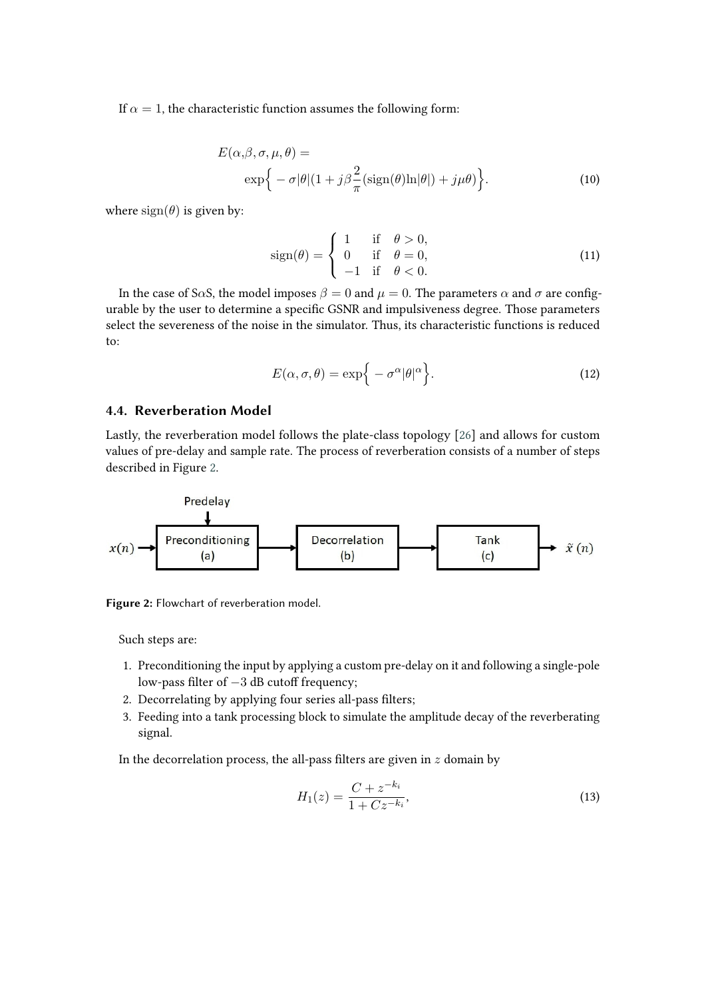If  $\alpha = 1$ , the characteristic function assumes the following form:

$$
E(\alpha, \beta, \sigma, \mu, \theta) =
$$
  
 
$$
\exp\left\{-\sigma|\theta|(1+j\beta\frac{2}{\pi}(\text{sign}(\theta)\ln|\theta|) + j\mu\theta)\right\}.
$$
 (10)

where  $sign(\theta)$  is given by:

$$
sign(\theta) = \begin{cases} 1 & \text{if } \theta > 0, \\ 0 & \text{if } \theta = 0, \\ -1 & \text{if } \theta < 0. \end{cases}
$$
 (11)

In the case of S $\alpha$ S, the model imposes  $\beta = 0$  and  $\mu = 0$ . The parameters  $\alpha$  and  $\sigma$  are configurable by the user to determine a specific GSNR and impulsiveness degree. Those parameters select the severeness of the noise in the simulator. Thus, its characteristic functions is reduced to:

$$
E(\alpha, \sigma, \theta) = \exp\{-\sigma^{\alpha}|\theta|^{\alpha}\}.
$$
 (12)

### **4.4. Reverberation Model**

Lastly, the reverberation model follows the plate-class topology [\[26\]](#page-15-11) and allows for custom values of pre-delay and sample rate. The process of reverberation consists of a number of steps described in Figure [2.](#page-6-0)



**Figure 2:** Flowchart of reverberation model.

Such steps are:

- 1. Preconditioning the input by applying a custom pre-delay on it and following a single-pole low-pass filter of −3 dB cutoff frequency;
- 2. Decorrelating by applying four series all-pass filters;
- 3. Feeding into a tank processing block to simulate the amplitude decay of the reverberating signal.

In the decorrelation process, the all-pass filters are given in  $z$  domain by

<span id="page-6-0"></span>
$$
H_1(z) = \frac{C + z^{-k_i}}{1 + Cz^{-k_i}},\tag{13}
$$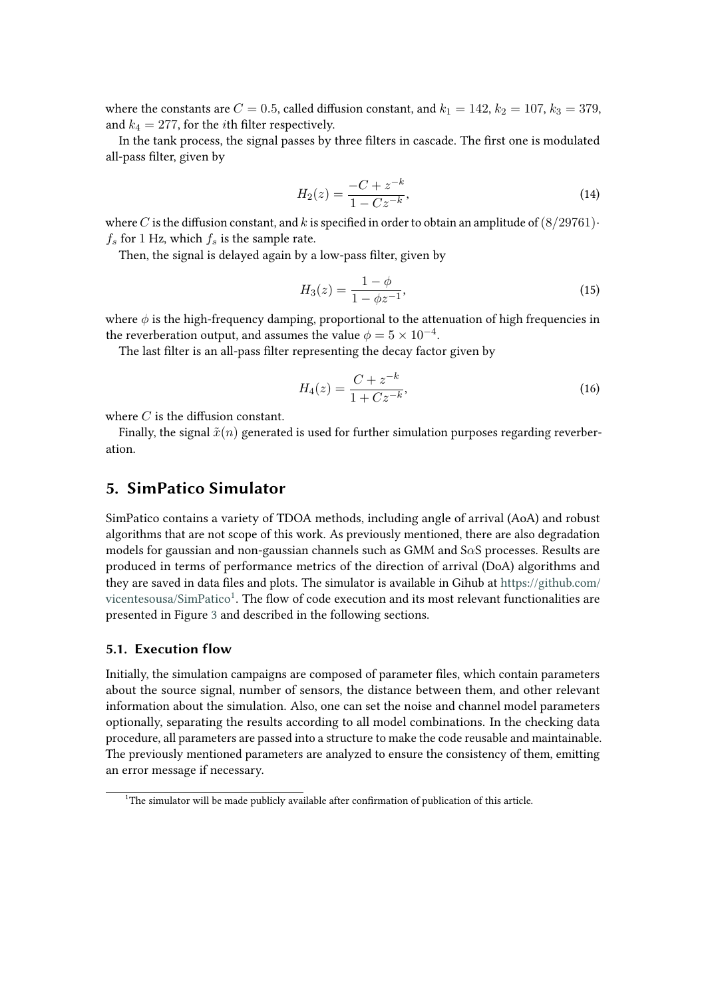where the constants are  $C = 0.5$ , called diffusion constant, and  $k_1 = 142$ ,  $k_2 = 107$ ,  $k_3 = 379$ , and  $k_4 = 277$ , for the *i*th filter respectively.

In the tank process, the signal passes by three filters in cascade. The first one is modulated all-pass filter, given by

$$
H_2(z) = \frac{-C + z^{-k}}{1 - Cz^{-k}},\tag{14}
$$

where C is the diffusion constant, and k is specified in order to obtain an amplitude of  $(8/29761)$ ·  $f_s$  for 1 Hz, which  $f_s$  is the sample rate.

Then, the signal is delayed again by a low-pass filter, given by

$$
H_3(z) = \frac{1 - \phi}{1 - \phi z^{-1}},\tag{15}
$$

where  $\phi$  is the high-frequency damping, proportional to the attenuation of high frequencies in the reverberation output, and assumes the value  $\phi = 5 \times 10^{-4}.$ 

The last filter is an all-pass filter representing the decay factor given by

$$
H_4(z) = \frac{C + z^{-k}}{1 + Cz^{-k}},\tag{16}
$$

where  $C$  is the diffusion constant.

Finally, the signal  $\tilde{x}(n)$  generated is used for further simulation purposes regarding reverberation.

# <span id="page-7-0"></span>**5. SimPatico Simulator**

SimPatico contains a variety of TDOA methods, including angle of arrival (AoA) and robust algorithms that are not scope of this work. As previously mentioned, there are also degradation models for gaussian and non-gaussian channels such as GMM and S $\alpha$ S processes. Results are produced in terms of performance metrics of the direction of arrival (DoA) algorithms and they are saved in data files and plots. The simulator is available in Gihub at [https://github.com/](https://github.com/vicentesousa/SimPatico) [vicentesousa/SimPatico](https://github.com/vicentesousa/SimPatico)<sup>[1](#page-7-1)</sup>. The flow of code execution and its most relevant functionalities are presented in Figure [3](#page-8-1) and described in the following sections.

### **5.1. Execution flow**

Initially, the simulation campaigns are composed of parameter files, which contain parameters about the source signal, number of sensors, the distance between them, and other relevant information about the simulation. Also, one can set the noise and channel model parameters optionally, separating the results according to all model combinations. In the checking data procedure, all parameters are passed into a structure to make the code reusable and maintainable. The previously mentioned parameters are analyzed to ensure the consistency of them, emitting an error message if necessary.

<span id="page-7-1"></span> $1$ <sup>1</sup>The simulator will be made publicly available after confirmation of publication of this article.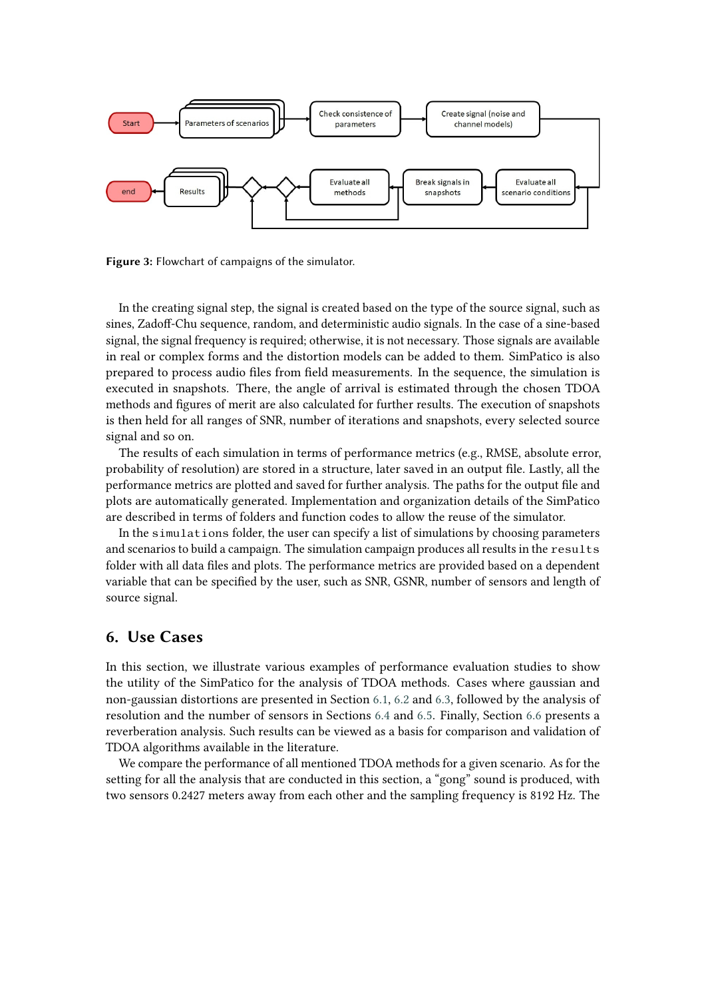

<span id="page-8-1"></span>**Figure 3:** Flowchart of campaigns of the simulator.

In the creating signal step, the signal is created based on the type of the source signal, such as sines, Zadoff-Chu sequence, random, and deterministic audio signals. In the case of a sine-based signal, the signal frequency is required; otherwise, it is not necessary. Those signals are available in real or complex forms and the distortion models can be added to them. SimPatico is also prepared to process audio files from field measurements. In the sequence, the simulation is executed in snapshots. There, the angle of arrival is estimated through the chosen TDOA methods and figures of merit are also calculated for further results. The execution of snapshots is then held for all ranges of SNR, number of iterations and snapshots, every selected source signal and so on.

The results of each simulation in terms of performance metrics (e.g., RMSE, absolute error, probability of resolution) are stored in a structure, later saved in an output file. Lastly, all the performance metrics are plotted and saved for further analysis. The paths for the output file and plots are automatically generated. Implementation and organization details of the SimPatico are described in terms of folders and function codes to allow the reuse of the simulator.

In the simulations folder, the user can specify a list of simulations by choosing parameters and scenarios to build a campaign. The simulation campaign produces all results in the results folder with all data files and plots. The performance metrics are provided based on a dependent variable that can be specified by the user, such as SNR, GSNR, number of sensors and length of source signal.

## <span id="page-8-0"></span>**6. Use Cases**

In this section, we illustrate various examples of performance evaluation studies to show the utility of the SimPatico for the analysis of TDOA methods. Cases where gaussian and non-gaussian distortions are presented in Section [6.1,](#page-9-0) [6.2](#page-10-0) and [6.3,](#page-10-1) followed by the analysis of resolution and the number of sensors in Sections [6.4](#page-11-0) and [6.5.](#page-12-0) Finally, Section [6.6](#page-12-1) presents a reverberation analysis. Such results can be viewed as a basis for comparison and validation of TDOA algorithms available in the literature.

We compare the performance of all mentioned TDOA methods for a given scenario. As for the setting for all the analysis that are conducted in this section, a "gong" sound is produced, with two sensors 0.2427 meters away from each other and the sampling frequency is 8192 Hz. The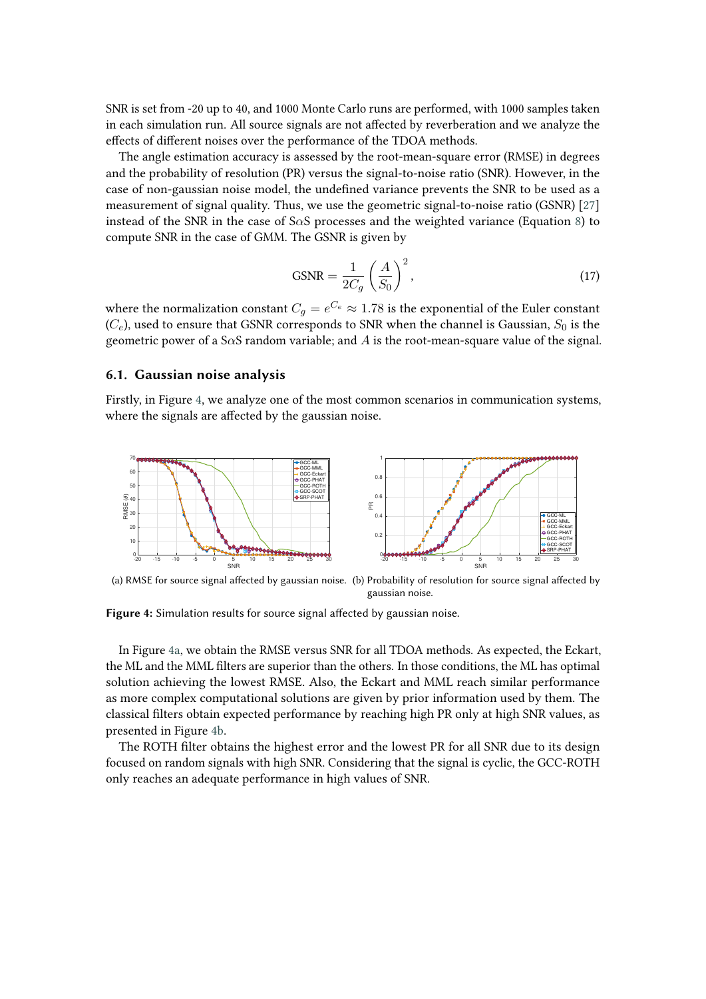SNR is set from -20 up to 40, and 1000 Monte Carlo runs are performed, with 1000 samples taken in each simulation run. All source signals are not affected by reverberation and we analyze the effects of different noises over the performance of the TDOA methods.

The angle estimation accuracy is assessed by the root-mean-square error (RMSE) in degrees and the probability of resolution (PR) versus the signal-to-noise ratio (SNR). However, in the case of non-gaussian noise model, the undefined variance prevents the SNR to be used as a measurement of signal quality. Thus, we use the geometric signal-to-noise ratio (GSNR) [\[27\]](#page-15-12) instead of the SNR in the case of S $\alpha$ S processes and the weighted variance (Equation [8\)](#page-5-0) to compute SNR in the case of GMM. The GSNR is given by

<span id="page-9-1"></span>
$$
\text{GSNR} = \frac{1}{2C_g} \left(\frac{A}{S_0}\right)^2,\tag{17}
$$

where the normalization constant  $C_g = e^{C_e} \approx 1.78$  is the exponential of the Euler constant  $(C_e)$ , used to ensure that GSNR corresponds to SNR when the channel is Gaussian,  $S_0$  is the geometric power of a S $\alpha$ S random variable; and  $A$  is the root-mean-square value of the signal.

### <span id="page-9-0"></span>**6.1. Gaussian noise analysis**

Firstly, in Figure [4,](#page-9-1) we analyze one of the most common scenarios in communication systems, where the signals are affected by the gaussian noise.

<span id="page-9-2"></span>

<span id="page-9-3"></span>(a) RMSE for source signal affected by gaussian noise. (b) Probability of resolution for source signal affected by gaussian noise.

**Figure 4:** Simulation results for source signal affected by gaussian noise.

In Figure [4a,](#page-9-2) we obtain the RMSE versus SNR for all TDOA methods. As expected, the Eckart, the ML and the MML filters are superior than the others. In those conditions, the ML has optimal solution achieving the lowest RMSE. Also, the Eckart and MML reach similar performance as more complex computational solutions are given by prior information used by them. The classical filters obtain expected performance by reaching high PR only at high SNR values, as presented in Figure [4b.](#page-9-3)

The ROTH filter obtains the highest error and the lowest PR for all SNR due to its design focused on random signals with high SNR. Considering that the signal is cyclic, the GCC-ROTH only reaches an adequate performance in high values of SNR.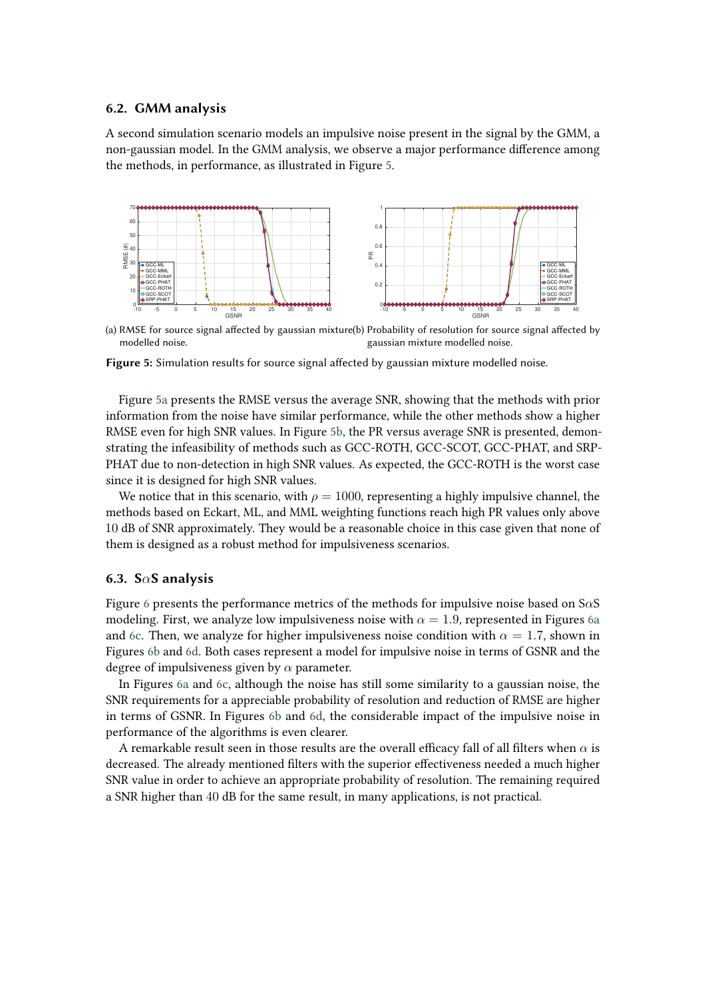### <span id="page-10-0"></span>**6.2. GMM analysis**

A second simulation scenario models an impulsive noise present in the signal by the GMM, a non-gaussian model. In the GMM analysis, we observe a major performance difference among the methods, in performance, as illustrated in Figure [5.](#page-10-2)

<span id="page-10-3"></span>

<span id="page-10-4"></span>(a) RMSE for source signal affected by gaussian mixture (b) Probability of resolution for source signal affected by modelled noise. gaussian mixture modelled noise.

<span id="page-10-2"></span>**Figure 5:** Simulation results for source signal affected by gaussian mixture modelled noise.

Figure [5a](#page-10-3) presents the RMSE versus the average SNR, showing that the methods with prior information from the noise have similar performance, while the other methods show a higher RMSE even for high SNR values. In Figure [5b,](#page-10-4) the PR versus average SNR is presented, demonstrating the infeasibility of methods such as GCC-ROTH, GCC-SCOT, GCC-PHAT, and SRP-PHAT due to non-detection in high SNR values. As expected, the GCC-ROTH is the worst case since it is designed for high SNR values.

We notice that in this scenario, with  $\rho = 1000$ , representing a highly impulsive channel, the methods based on Eckart, ML, and MML weighting functions reach high PR values only above 10 dB of SNR approximately. They would be a reasonable choice in this case given that none of them is designed as a robust method for impulsiveness scenarios.

### <span id="page-10-1"></span>**6.3. SS analysis**

Figure [6](#page-11-1) presents the performance metrics of the methods for impulsive noise based on  $S\alpha S$ modeling. First, we analyze low impulsiveness noise with  $\alpha = 1.9$ , represented in Figures [6a](#page-11-2) and [6c.](#page-11-3) Then, we analyze for higher impulsiveness noise condition with  $\alpha = 1.7$ , shown in Figures [6b](#page-11-4) and [6d.](#page-11-5) Both cases represent a model for impulsive noise in terms of GSNR and the degree of impulsiveness given by  $\alpha$  parameter.

In Figures [6a](#page-11-2) and [6c,](#page-11-3) although the noise has still some similarity to a gaussian noise, the SNR requirements for a appreciable probability of resolution and reduction of RMSE are higher in terms of GSNR. In Figures [6b](#page-11-4) and [6d,](#page-11-5) the considerable impact of the impulsive noise in performance of the algorithms is even clearer.

A remarkable result seen in those results are the overall efficacy fall of all filters when  $\alpha$  is decreased. The already mentioned filters with the superior effectiveness needed a much higher SNR value in order to achieve an appropriate probability of resolution. The remaining required a SNR higher than 40 dB for the same result, in many applications, is not practical.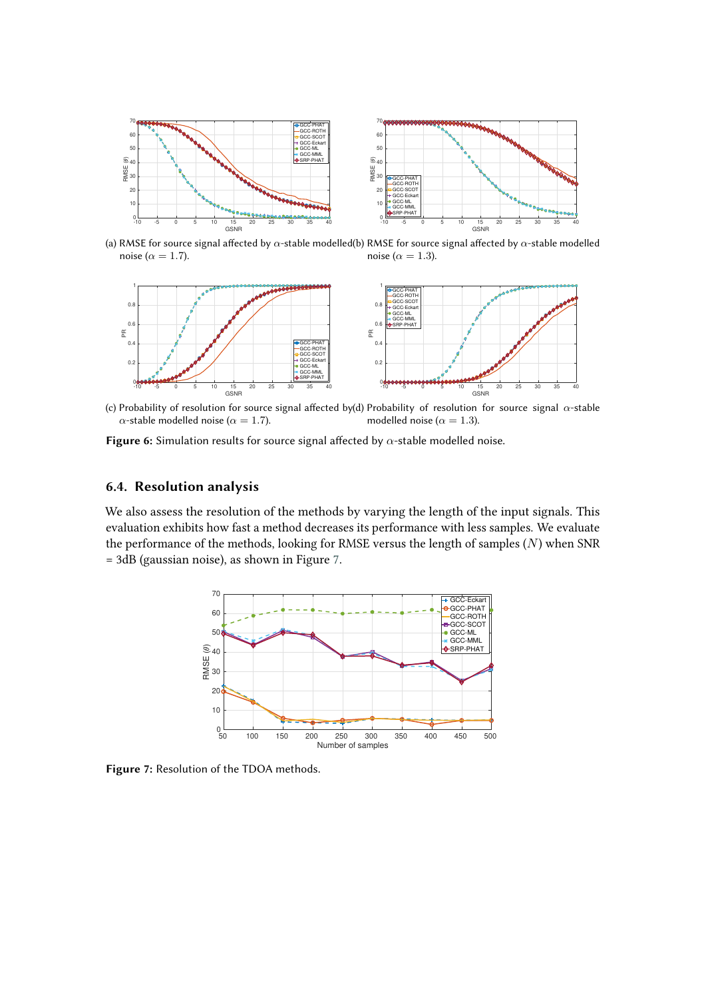<span id="page-11-2"></span>

(a) RMSE for source signal affected by  $\alpha$ -stable modelled(b) RMSE for source signal affected by  $\alpha$ -stable modelled noise ( $\alpha = 1.7$ ). noise ( $\alpha = 1.3$ ).

<span id="page-11-4"></span>

<span id="page-11-5"></span><span id="page-11-3"></span>(c) Probability of resolution for source signal affected by(d) Probability of resolution for source signal  $\alpha$ -stable  $\alpha$ -stable modelled noise ( $\alpha = 1.7$ ). modelled noise ( $\alpha = 1.3$ ).

Figure 6: Simulation results for source signal affected by  $\alpha$ -stable modelled noise.

### <span id="page-11-0"></span>**6.4. Resolution analysis**

We also assess the resolution of the methods by varying the length of the input signals. This evaluation exhibits how fast a method decreases its performance with less samples. We evaluate the performance of the methods, looking for RMSE versus the length of samples  $(N)$  when SNR = 3dB (gaussian noise), as shown in Figure [7.](#page-11-6)

<span id="page-11-6"></span><span id="page-11-1"></span>

**Figure 7:** Resolution of the TDOA methods.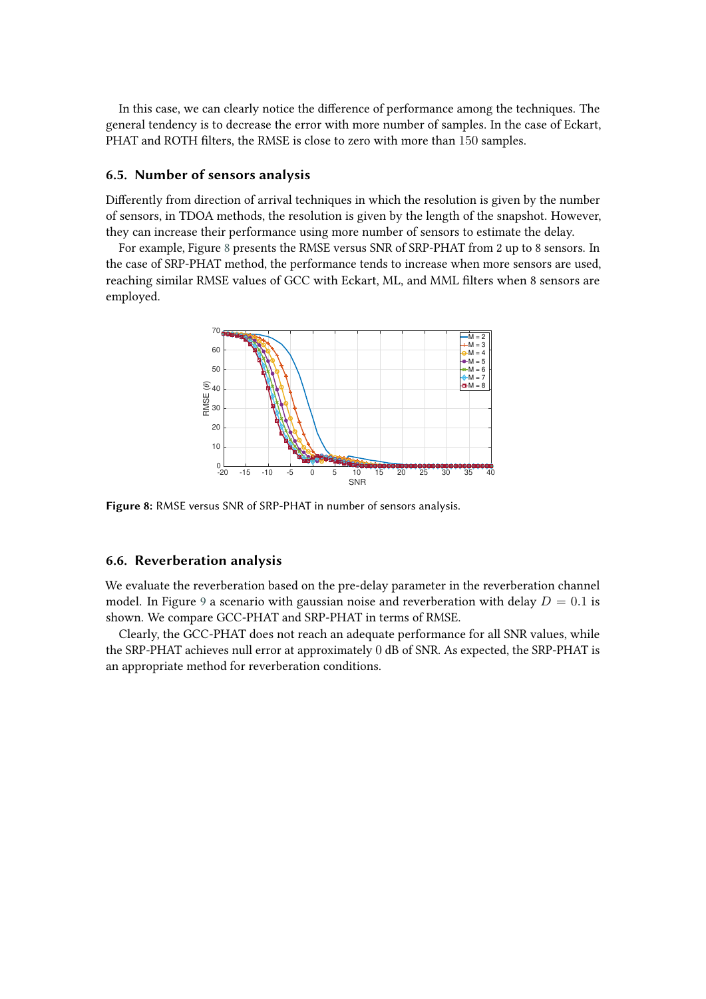In this case, we can clearly notice the difference of performance among the techniques. The general tendency is to decrease the error with more number of samples. In the case of Eckart, PHAT and ROTH filters, the RMSE is close to zero with more than 150 samples.

### <span id="page-12-0"></span>**6.5. Number of sensors analysis**

Differently from direction of arrival techniques in which the resolution is given by the number of sensors, in TDOA methods, the resolution is given by the length of the snapshot. However, they can increase their performance using more number of sensors to estimate the delay.

For example, Figure [8](#page-12-2) presents the RMSE versus SNR of SRP-PHAT from 2 up to 8 sensors. In the case of SRP-PHAT method, the performance tends to increase when more sensors are used, reaching similar RMSE values of GCC with Eckart, ML, and MML filters when 8 sensors are employed.

<span id="page-12-2"></span>

**Figure 8:** RMSE versus SNR of SRP-PHAT in number of sensors analysis.

### <span id="page-12-1"></span>**6.6. Reverberation analysis**

We evaluate the reverberation based on the pre-delay parameter in the reverberation channel model. In Figure [9](#page-13-1) a scenario with gaussian noise and reverberation with delay  $D = 0.1$  is shown. We compare GCC-PHAT and SRP-PHAT in terms of RMSE.

Clearly, the GCC-PHAT does not reach an adequate performance for all SNR values, while the SRP-PHAT achieves null error at approximately 0 dB of SNR. As expected, the SRP-PHAT is an appropriate method for reverberation conditions.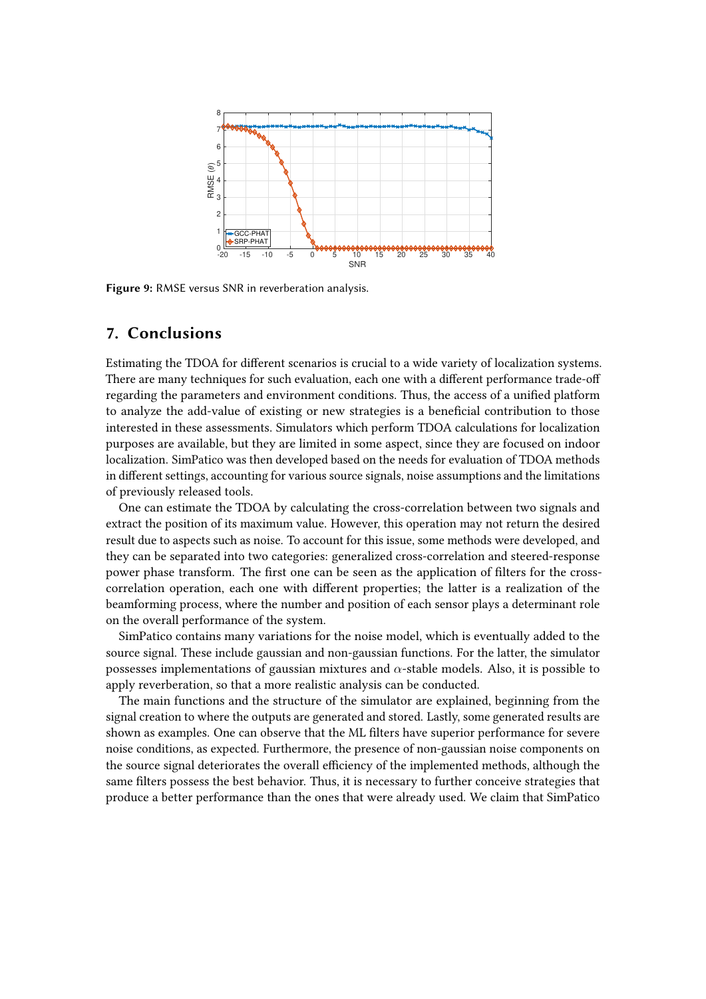<span id="page-13-1"></span>

**Figure 9:** RMSE versus SNR in reverberation analysis.

# <span id="page-13-0"></span>**7. Conclusions**

Estimating the TDOA for different scenarios is crucial to a wide variety of localization systems. There are many techniques for such evaluation, each one with a different performance trade-off regarding the parameters and environment conditions. Thus, the access of a unified platform to analyze the add-value of existing or new strategies is a beneficial contribution to those interested in these assessments. Simulators which perform TDOA calculations for localization purposes are available, but they are limited in some aspect, since they are focused on indoor localization. SimPatico was then developed based on the needs for evaluation of TDOA methods in different settings, accounting for various source signals, noise assumptions and the limitations of previously released tools.

One can estimate the TDOA by calculating the cross-correlation between two signals and extract the position of its maximum value. However, this operation may not return the desired result due to aspects such as noise. To account for this issue, some methods were developed, and they can be separated into two categories: generalized cross-correlation and steered-response power phase transform. The first one can be seen as the application of filters for the crosscorrelation operation, each one with different properties; the latter is a realization of the beamforming process, where the number and position of each sensor plays a determinant role on the overall performance of the system.

SimPatico contains many variations for the noise model, which is eventually added to the source signal. These include gaussian and non-gaussian functions. For the latter, the simulator possesses implementations of gaussian mixtures and  $\alpha$ -stable models. Also, it is possible to apply reverberation, so that a more realistic analysis can be conducted.

The main functions and the structure of the simulator are explained, beginning from the signal creation to where the outputs are generated and stored. Lastly, some generated results are shown as examples. One can observe that the ML filters have superior performance for severe noise conditions, as expected. Furthermore, the presence of non-gaussian noise components on the source signal deteriorates the overall efficiency of the implemented methods, although the same filters possess the best behavior. Thus, it is necessary to further conceive strategies that produce a better performance than the ones that were already used. We claim that SimPatico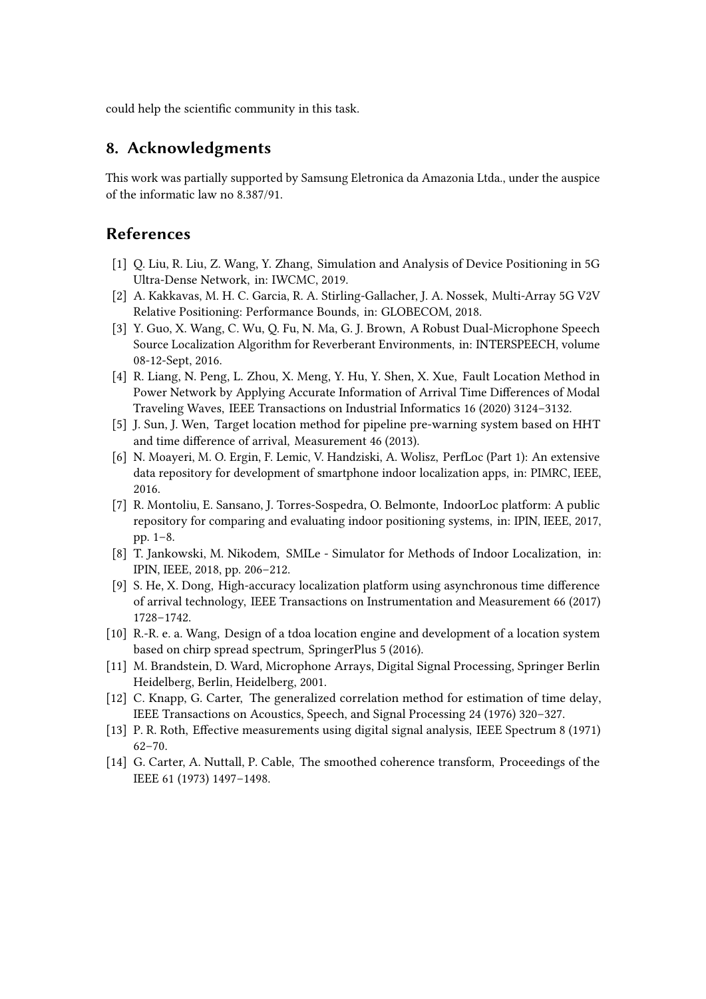could help the scientific community in this task.

# **8. Acknowledgments**

This work was partially supported by Samsung Eletronica da Amazonia Ltda., under the auspice of the informatic law no 8.387/91.

# **References**

- [1] Q. Liu, R. Liu, Z. Wang, Y. Zhang, Simulation and Analysis of Device Positioning in 5G Ultra-Dense Network, in: IWCMC, 2019.
- [2] A. Kakkavas, M. H. C. Garcia, R. A. Stirling-Gallacher, J. A. Nossek, Multi-Array 5G V2V Relative Positioning: Performance Bounds, in: GLOBECOM, 2018.
- [3] Y. Guo, X. Wang, C. Wu, Q. Fu, N. Ma, G. J. Brown, A Robust Dual-Microphone Speech Source Localization Algorithm for Reverberant Environments, in: INTERSPEECH, volume 08-12-Sept, 2016.
- [4] R. Liang, N. Peng, L. Zhou, X. Meng, Y. Hu, Y. Shen, X. Xue, Fault Location Method in Power Network by Applying Accurate Information of Arrival Time Differences of Modal Traveling Waves, IEEE Transactions on Industrial Informatics 16 (2020) 3124–3132.
- [5] J. Sun, J. Wen, Target location method for pipeline pre-warning system based on HHT and time difference of arrival, Measurement 46 (2013).
- <span id="page-14-0"></span>[6] N. Moayeri, M. O. Ergin, F. Lemic, V. Handziski, A. Wolisz, PerfLoc (Part 1): An extensive data repository for development of smartphone indoor localization apps, in: PIMRC, IEEE, 2016.
- <span id="page-14-1"></span>[7] R. Montoliu, E. Sansano, J. Torres-Sospedra, O. Belmonte, IndoorLoc platform: A public repository for comparing and evaluating indoor positioning systems, in: IPIN, IEEE, 2017, pp. 1–8.
- <span id="page-14-2"></span>[8] T. Jankowski, M. Nikodem, SMILe - Simulator for Methods of Indoor Localization, in: IPIN, IEEE, 2018, pp. 206–212.
- <span id="page-14-3"></span>[9] S. He, X. Dong, High-accuracy localization platform using asynchronous time difference of arrival technology, IEEE Transactions on Instrumentation and Measurement 66 (2017) 1728–1742.
- <span id="page-14-4"></span>[10] R.-R. e. a. Wang, Design of a tdoa location engine and development of a location system based on chirp spread spectrum, SpringerPlus 5 (2016).
- <span id="page-14-5"></span>[11] M. Brandstein, D. Ward, Microphone Arrays, Digital Signal Processing, Springer Berlin Heidelberg, Berlin, Heidelberg, 2001.
- <span id="page-14-6"></span>[12] C. Knapp, G. Carter, The generalized correlation method for estimation of time delay, IEEE Transactions on Acoustics, Speech, and Signal Processing 24 (1976) 320–327.
- <span id="page-14-7"></span>[13] P. R. Roth, Effective measurements using digital signal analysis, IEEE Spectrum 8 (1971) 62–70.
- <span id="page-14-8"></span>[14] G. Carter, A. Nuttall, P. Cable, The smoothed coherence transform, Proceedings of the IEEE 61 (1973) 1497–1498.